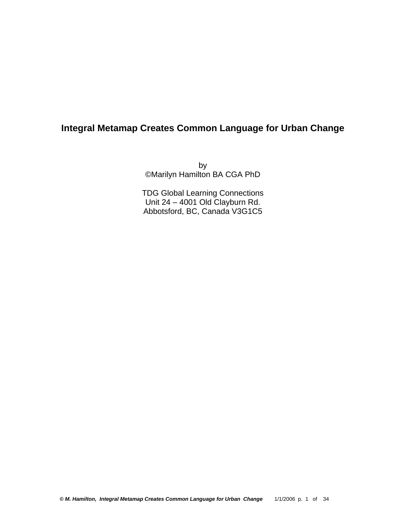## **Integral Metamap Creates Common Language for Urban Change**

by ©Marilyn Hamilton BA CGA PhD

TDG Global Learning Connections Unit 24 – 4001 Old Clayburn Rd. Abbotsford, BC, Canada V3G1C5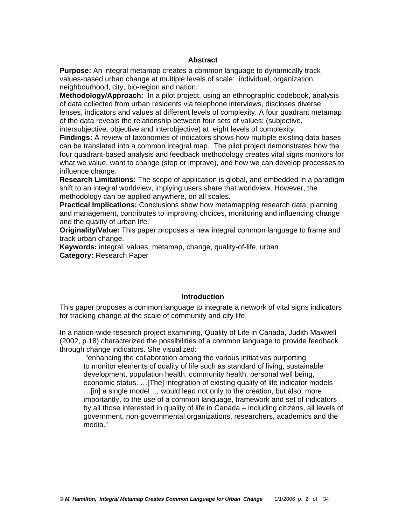## **Abstract**

**Purpose:** An integral metamap creates a common language to dynamically track values-based urban change at multiple levels of scale: individual, organization, neighbourhood, city, bio-region and nation.

**Methodology/Approach:** In a pilot project, using an ethnographic codebook, analysis of data collected from urban residents via telephone interviews, discloses diverse lenses, indicators and values at different levels of complexity. A four quadrant metamap of the data reveals the relationship between four sets of values: (subjective, intersubjective, objective and interobjective) at eight levels of complexity.

**Findings:** A review of taxonomies of indicators shows how multiple existing data bases can be translated into a common integral map. The pilot project demonstrates how the four quadrant-based analysis and feedback methodology creates vital signs monitors for what we value, want to change (stop or improve), and how we can develop processes to influence change.

**Research Limitations:** The scope of application is global, and embedded in a paradigm shift to an integral worldview, implying users share that worldview. However, the methodology can be applied anywhere, on all scales.

**Practical Implications:** Conclusions show how metamapping research data, planning and management, contributes to improving choices, monitoring and influencing change and the quality of urban life.

**Originality/Value:** This paper proposes a new integral common language to frame and track urban change.

**Keywords:** integral, values, metamap, change, quality-of-life, urban **Category:** Research Paper

## **Introduction**

This paper proposes a common language to integrate a network of vital signs indicators for tracking change at the scale of community and city life.

In a nation-wide research project examining, Quality of Life in Canada, Judith Maxwell (2002, p.18) characterized the possibilities of a common language to provide feedback through change indicators. She visualized:

 "enhancing the collaboration among the various initiatives purporting to monitor elements of quality of life such as standard of living, sustainable development, population health, community health, personal well being, economic status. …[The] integration of existing quality of life indicator models …[in] a single model … would lead not only to the creation, but also, more importantly, to the use of a common language, framework and set of indicators by all those interested in quality of life in Canada – including citizens, all levels of government, non-governmental organizations, researchers, academics and the media."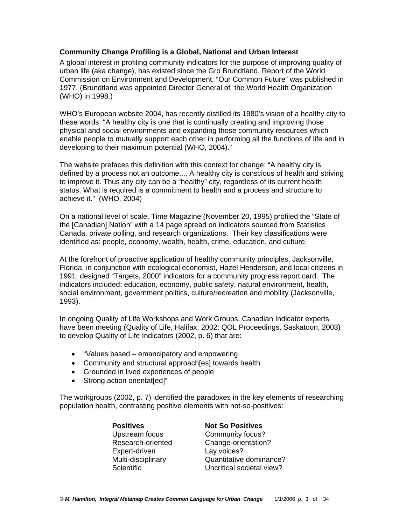## **Community Change Profiling is a Global, National and Urban Interest**

A global interest in profiling community indicators for the purpose of improving quality of urban life (aka change), has existed since the Gro Brundtland, Report of the World Commission on Environment and Development, "Our Common Future" was published in 1977. (Brundtland was appointed Director General of the World Health Organization (WHO) in 1998.)

WHO's European website 2004, has recently distilled its 1980's vision of a healthy city to these words: "A healthy city is one that is continually creating and improving those physical and social environments and expanding those community resources which enable people to mutually support each other in performing all the functions of life and in developing to their maximum potential (WHO, 2004)."

The website prefaces this definition with this context for change: "A healthy city is defined by a process not an outcome.... A healthy city is conscious of health and striving to improve it. Thus any city can be a "healthy" city, regardless of its current health status. What is required is a commitment to health and a process and structure to achieve it." (WHO, 2004)

On a national level of scale, Time Magazine (November 20, 1995) profiled the "State of the [Canadian] Nation" with a 14 page spread on indicators sourced from Statistics Canada, private polling, and research organizations. Their key classifications were identified as: people, economy, wealth, health, crime, education, and culture.

At the forefront of proactive application of healthy community principles, Jacksonville, Florida, in conjunction with ecological economist, Hazel Henderson, and local citizens in 1991, designed "Targets, 2000" indicators for a community progress report card. The indicators included: education, economy, public safety, natural environment, health, social environment, government politics, culture/recreation and mobility (Jacksonville, 1993).

In ongoing Quality of Life Workshops and Work Groups, Canadian Indicator experts have been meeting (Quality of Life, Halifax, 2002; QOL Proceedings, Saskatoon, 2003) to develop Quality of Life Indicators (2002, p. 6) that are:

- "Values based emancipatory and empowering
- Community and structural approach[es] towards health
- Grounded in lived experiences of people
- Strong action orientat[ed]"

The workgroups (2002, p. 7) identified the paradoxes in the key elements of researching population health, contrasting positive elements with not-so-positives:

> **Positives Mot So Positives** Expert-driven Lay voices?<br>Multi-disciplinary Cuantitative

Upstream focus **Community focus?** Research-oriented Change-orientation? Quantitative dominance? Scientific **No. 2018** Uncritical societal view?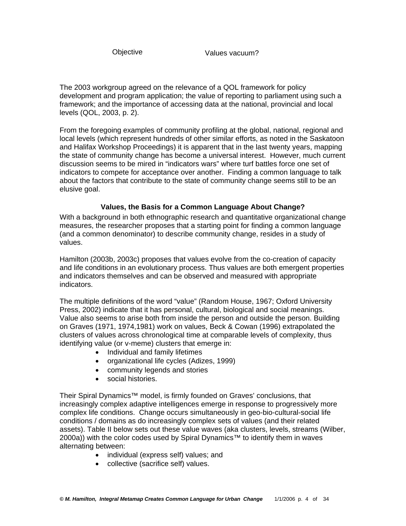The 2003 workgroup agreed on the relevance of a QOL framework for policy development and program application; the value of reporting to parliament using such a framework; and the importance of accessing data at the national, provincial and local levels (QOL, 2003, p. 2).

From the foregoing examples of community profiling at the global, national, regional and local levels (which represent hundreds of other similar efforts, as noted in the Saskatoon and Halifax Workshop Proceedings) it is apparent that in the last twenty years, mapping the state of community change has become a universal interest. However, much current discussion seems to be mired in "indicators wars" where turf battles force one set of indicators to compete for acceptance over another. Finding a common language to talk about the factors that contribute to the state of community change seems still to be an elusive goal.

## **Values, the Basis for a Common Language About Change?**

With a background in both ethnographic research and quantitative organizational change measures, the researcher proposes that a starting point for finding a common language (and a common denominator) to describe community change, resides in a study of values.

Hamilton (2003b, 2003c) proposes that values evolve from the co-creation of capacity and life conditions in an evolutionary process. Thus values are both emergent properties and indicators themselves and can be observed and measured with appropriate indicators.

The multiple definitions of the word "value" (Random House, 1967; Oxford University Press, 2002) indicate that it has personal, cultural, biological and social meanings. Value also seems to arise both from inside the person and outside the person. Building on Graves (1971, 1974,1981) work on values, Beck & Cowan (1996) extrapolated the clusters of values across chronological time at comparable levels of complexity, thus identifying value (or v-meme) clusters that emerge in:

- Individual and family lifetimes
- organizational life cycles (Adizes, 1999)
- community legends and stories
- social histories.

Their Spiral Dynamics™ model, is firmly founded on Graves' conclusions, that increasingly complex adaptive intelligences emerge in response to progressively more complex life conditions. Change occurs simultaneously in geo-bio-cultural-social life conditions / domains as do increasingly complex sets of values (and their related assets). Table II below sets out these value waves (aka clusters, levels, streams (Wilber, 2000a)) with the color codes used by Spiral Dynamics™ to identify them in waves alternating between:

- individual (express self) values; and
- collective (sacrifice self) values.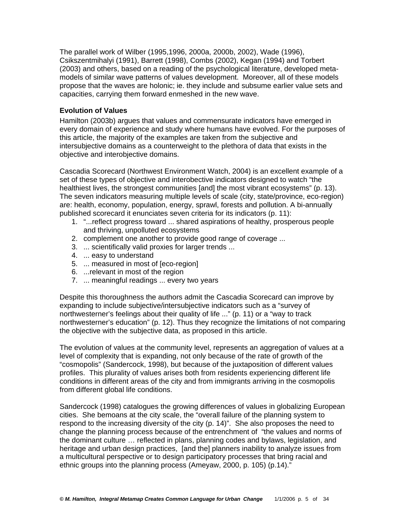The parallel work of Wilber (1995,1996, 2000a, 2000b, 2002), Wade (1996), Csikszentmihalyi (1991), Barrett (1998), Combs (2002), Kegan (1994) and Torbert (2003) and others, based on a reading of the psychological literature, developed metamodels of similar wave patterns of values development. Moreover, all of these models propose that the waves are holonic; ie. they include and subsume earlier value sets and capacities, carrying them forward enmeshed in the new wave.

## **Evolution of Values**

Hamilton (2003b) argues that values and commensurate indicators have emerged in every domain of experience and study where humans have evolved. For the purposes of this article, the majority of the examples are taken from the subjective and intersubjective domains as a counterweight to the plethora of data that exists in the objective and interobjective domains.

Cascadia Scorecard (Northwest Environment Watch, 2004) is an excellent example of a set of these types of objective and interobective indicators designed to watch "the healthiest lives, the strongest communities [and] the most vibrant ecosystems" (p. 13). The seven indicators measuring multiple levels of scale (city, state/province, eco-region) are: health, economy, population, energy, sprawl, forests and pollution. A bi-annually published scorecard it enunciates seven criteria for its indicators (p. 11):

- 1. "...reflect progress toward ... shared aspirations of healthy, prosperous people and thriving, unpolluted ecosystems
- 2. complement one another to provide good range of coverage ...
- 3. ... scientifically valid proxies for larger trends ...
- 4. ... easy to understand
- 5. ... measured in most of [eco-region]
- 6. ...relevant in most of the region
- 7. ... meaningful readings ... every two years

Despite this thoroughness the authors admit the Cascadia Scorecard can improve by expanding to include subjective/intersubjective indicators such as a "survey of northwesterner's feelings about their quality of life ..." (p. 11) or a "way to track northwesterner's education" (p. 12). Thus they recognize the limitations of not comparing the objective with the subjective data, as proposed in this article.

The evolution of values at the community level, represents an aggregation of values at a level of complexity that is expanding, not only because of the rate of growth of the "cosmopolis" (Sandercock, 1998), but because of the juxtaposition of different values profiles. This plurality of values arises both from residents experiencing different life conditions in different areas of the city and from immigrants arriving in the cosmopolis from different global life conditions.

Sandercock (1998) catalogues the growing differences of values in globalizing European cities. She bemoans at the city scale, the "overall failure of the planning system to respond to the increasing diversity of the city (p. 14)". She also proposes the need to change the planning process because of the entrenchment of "the values and norms of the dominant culture … reflected in plans, planning codes and bylaws, legislation, and heritage and urban design practices, [and the] planners inability to analyze issues from a multicultural perspective or to design participatory processes that bring racial and ethnic groups into the planning process (Ameyaw, 2000, p. 105) (p.14)."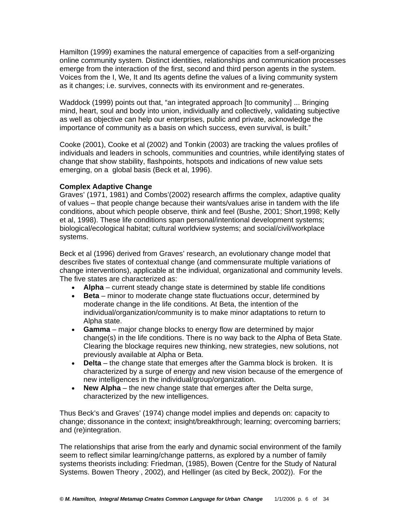Hamilton (1999) examines the natural emergence of capacities from a self-organizing online community system. Distinct identities, relationships and communication processes emerge from the interaction of the first, second and third person agents in the system. Voices from the I, We, It and Its agents define the values of a living community system as it changes; i.e. survives, connects with its environment and re-generates.

Waddock (1999) points out that, "an integrated approach [to community] ... Bringing mind, heart, soul and body into union, individually and collectively, validating subjective as well as objective can help our enterprises, public and private, acknowledge the importance of community as a basis on which success, even survival, is built."

Cooke (2001), Cooke et al (2002) and Tonkin (2003) are tracking the values profiles of individuals and leaders in schools, communities and countries, while identifying states of change that show stability, flashpoints, hotspots and indications of new value sets emerging, on a global basis (Beck et al, 1996).

## **Complex Adaptive Change**

Graves' (1971, 1981) and Combs'(2002) research affirms the complex, adaptive quality of values – that people change because their wants/values arise in tandem with the life conditions, about which people observe, think and feel (Bushe, 2001; Short,1998; Kelly et al, 1998). These life conditions span personal/intentional development systems; biological/ecological habitat; cultural worldview systems; and social/civil/workplace systems.

Beck et al (1996) derived from Graves' research, an evolutionary change model that describes five states of contextual change (and commensurate multiple variations of change interventions), applicable at the individual, organizational and community levels. The five states are characterized as:

- **Alpha** current steady change state is determined by stable life conditions
- **Beta** minor to moderate change state fluctuations occur, determined by moderate change in the life conditions. At Beta, the intention of the individual/organization/community is to make minor adaptations to return to Alpha state.
- **Gamma** major change blocks to energy flow are determined by major change(s) in the life conditions. There is no way back to the Alpha of Beta State. Clearing the blockage requires new thinking, new strategies, new solutions, not previously available at Alpha or Beta.
- **Delta** the change state that emerges after the Gamma block is broken. It is characterized by a surge of energy and new vision because of the emergence of new intelligences in the individual/group/organization.
- **New Alpha** the new change state that emerges after the Delta surge, characterized by the new intelligences.

Thus Beck's and Graves' (1974) change model implies and depends on: capacity to change; dissonance in the context; insight/breakthrough; learning; overcoming barriers; and (re)integration.

The relationships that arise from the early and dynamic social environment of the family seem to reflect similar learning/change patterns, as explored by a number of family systems theorists including: Friedman, (1985), Bowen (Centre for the Study of Natural Systems. Bowen Theory , 2002), and Hellinger (as cited by Beck, 2002)). For the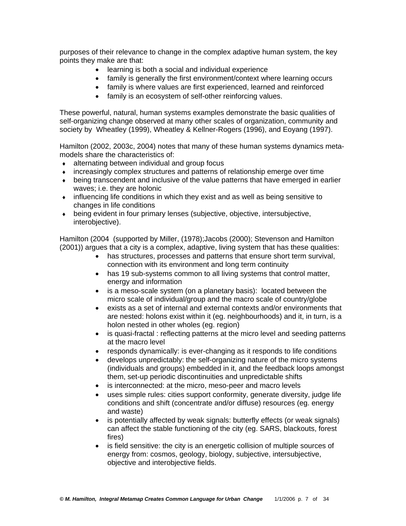purposes of their relevance to change in the complex adaptive human system, the key points they make are that:

- learning is both a social and individual experience
- family is generally the first environment/context where learning occurs
- family is where values are first experienced, learned and reinforced
- family is an ecosystem of self-other reinforcing values.

These powerful, natural, human systems examples demonstrate the basic qualities of self-organizing change observed at many other scales of organization, community and society by Wheatley (1999), Wheatley & Kellner-Rogers (1996), and Eoyang (1997).

Hamilton (2002, 2003c, 2004) notes that many of these human systems dynamics metamodels share the characteristics of:

- $\bullet$  alternating between individual and group focus
- ♦ increasingly complex structures and patterns of relationship emerge over time
- $\bullet$  being transcendent and inclusive of the value patterns that have emerged in earlier waves; i.e. they are holonic
- ♦ influencing life conditions in which they exist and as well as being sensitive to changes in life conditions
- ♦ being evident in four primary lenses (subjective, objective, intersubjective, interobjective).

Hamilton (2004 (supported by Miller, (1978);Jacobs (2000); Stevenson and Hamilton (2001)) argues that a city is a complex, adaptive, living system that has these qualities:

- has structures, processes and patterns that ensure short term survival, connection with its environment and long term continuity
- has 19 sub-systems common to all living systems that control matter, energy and information
- is a meso-scale system (on a planetary basis): located between the micro scale of individual/group and the macro scale of country/globe
- exists as a set of internal and external contexts and/or environments that are nested: holons exist within it (eg. neighbourhoods) and it, in turn, is a holon nested in other wholes (eg. region)
- is quasi-fractal : reflecting patterns at the micro level and seeding patterns at the macro level
- responds dynamically: is ever-changing as it responds to life conditions
- develops unpredictably: the self-organizing nature of the micro systems (individuals and groups) embedded in it, and the feedback loops amongst them, set-up periodic discontinuities and unpredictable shifts
- is interconnected: at the micro, meso-peer and macro levels
- uses simple rules: cities support conformity, generate diversity, judge life conditions and shift (concentrate and/or diffuse) resources (eg. energy and waste)
- is potentially affected by weak signals: butterfly effects (or weak signals) can affect the stable functioning of the city (eg. SARS, blackouts, forest fires)
- is field sensitive: the city is an energetic collision of multiple sources of energy from: cosmos, geology, biology, subjective, intersubjective, objective and interobjective fields.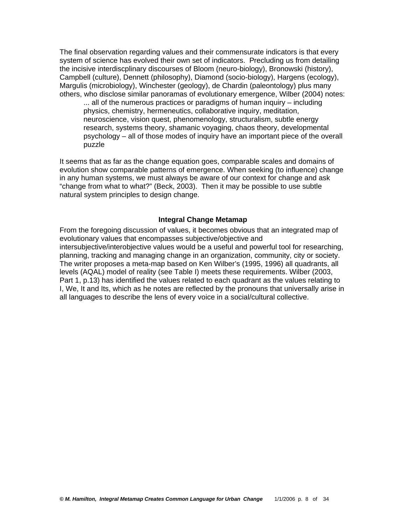The final observation regarding values and their commensurate indicators is that every system of science has evolved their own set of indicators. Precluding us from detailing the incisive interdiscplinary discourses of Bloom (neuro-biology), Bronowski (history), Campbell (culture), Dennett (philosophy), Diamond (socio-biology), Hargens (ecology), Margulis (microbiology), Winchester (geology), de Chardin (paleontology) plus many others, who disclose similar panoramas of evolutionary emergence, Wilber (2004) notes:

... all of the numerous practices or paradigms of human inquiry – including physics, chemistry, hermeneutics, collaborative inquiry, meditation, neuroscience, vision quest, phenomenology, structuralism, subtle energy research, systems theory, shamanic voyaging, chaos theory, developmental psychology – all of those modes of inquiry have an important piece of the overall puzzle

It seems that as far as the change equation goes, comparable scales and domains of evolution show comparable patterns of emergence. When seeking (to influence) change in any human systems, we must always be aware of our context for change and ask "change from what to what?" (Beck, 2003). Then it may be possible to use subtle natural system principles to design change.

## **Integral Change Metamap**

From the foregoing discussion of values, it becomes obvious that an integrated map of evolutionary values that encompasses subjective/objective and intersubjective/interobjective values would be a useful and powerful tool for researching, planning, tracking and managing change in an organization, community, city or society. The writer proposes a meta-map based on Ken Wilber's (1995, 1996) all quadrants, all levels (AQAL) model of reality (see Table I) meets these requirements. Wilber (2003, Part 1, p.13) has identified the values related to each quadrant as the values relating to I, We, It and Its, which as he notes are reflected by the pronouns that universally arise in all languages to describe the lens of every voice in a social/cultural collective.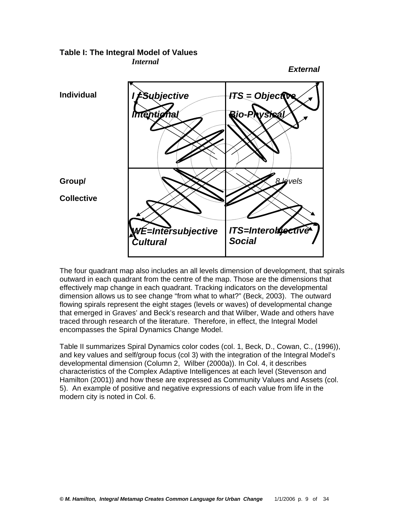

## **Table I: The Integral Model of Values**  *Internal*

The four quadrant map also includes an all levels dimension of development, that spirals outward in each quadrant from the centre of the map. Those are the dimensions that effectively map change in each quadrant. Tracking indicators on the developmental dimension allows us to see change "from what to what?" (Beck, 2003). The outward flowing spirals represent the eight stages (levels or waves) of developmental change that emerged in Graves' and Beck's research and that Wilber, Wade and others have traced through research of the literature. Therefore, in effect, the Integral Model encompasses the Spiral Dynamics Change Model.

Table II summarizes Spiral Dynamics color codes (col. 1, Beck, D., Cowan, C., (1996)), and key values and self/group focus (col 3) with the integration of the Integral Model's developmental dimension (Column 2, Wilber (2000a)). In Col. 4, it describes characteristics of the Complex Adaptive Intelligences at each level (Stevenson and Hamilton (2001)) and how these are expressed as Community Values and Assets (col. 5). An example of positive and negative expressions of each value from life in the modern city is noted in Col. 6.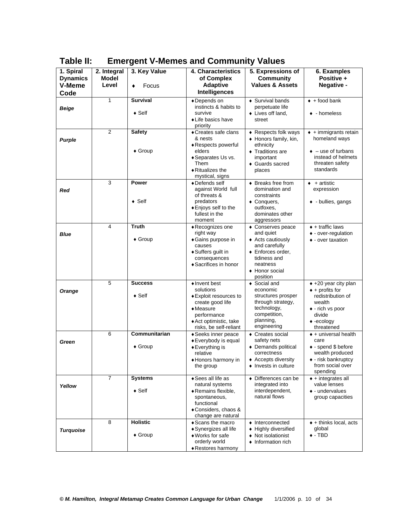| 1. Spiral<br><b>Dynamics</b><br>V-Meme | 2. Integral<br>Model<br>Level | 3. Key Value<br>Focus<br>٠           | 4. Characteristics<br>of Complex<br><b>Adaptive</b>                                                                                                                          | 5. Expressions of<br><b>Community</b><br><b>Values &amp; Assets</b>                                                                                 | 6. Examples<br>Positive +<br>Negative -                                                                                                                   |
|----------------------------------------|-------------------------------|--------------------------------------|------------------------------------------------------------------------------------------------------------------------------------------------------------------------------|-----------------------------------------------------------------------------------------------------------------------------------------------------|-----------------------------------------------------------------------------------------------------------------------------------------------------------|
| Code                                   |                               |                                      | Intelligences                                                                                                                                                                |                                                                                                                                                     |                                                                                                                                                           |
| <b>Beige</b>                           | 1                             | <b>Survival</b><br>$\bullet$ Self    | ◆Depends on<br>instincts & habits to<br>survive<br>• Life basics have<br>priority                                                                                            | ♦ Survival bands<br>perpetuate life<br>• Lives off land,<br>street                                                                                  | $\bullet$ + food bank<br>$\bullet$ - homeless                                                                                                             |
| <b>Purple</b>                          | $\overline{2}$                | <b>Safety</b><br>$\triangle$ Group   | ◆ Creates safe clans<br>& nests<br>◆ Respects powerful<br>elders<br>◆ Separates Us vs.<br>Them<br>$\bullet$ Ritualizes the<br>mystical, signs                                | ◆ Respects folk ways<br>♦ Honors family, kin,<br>ethnicity<br>◆ Traditions are<br>important<br>◆ Guards sacred<br>places                            | $\bullet$ + immigrants retain<br>homeland ways<br>$\bullet$ – use of turbans<br>instead of helmets<br>threaten safety<br>standards                        |
| <b>Red</b>                             | 3                             | <b>Power</b><br>$\bullet$ Self       | ◆Defends self<br>against World full<br>of threats &<br>predators<br>◆ Enjoys self to the<br>fullest in the<br>moment                                                         | ♦ Breaks free from<br>domination and<br>constraints<br>$\triangle$ Conquers,<br>outfoxes.<br>dominates other<br>aggressors                          | $\bullet$ + artistic<br>expression<br>- bullies, gangs                                                                                                    |
| <b>Blue</b>                            | $\overline{\mathbf{4}}$       | <b>Truth</b><br>$\triangle$ Group    | ◆ Recognizes one<br>right way<br>◆ Gains purpose in<br>causes<br>◆ Suffers guilt in<br>consequences<br>◆ Sacrifices in honor                                                 | • Conserves peace<br>and quiet<br>♦ Acts cautiously<br>and carefully<br>◆ Enforces order,<br>tidiness and<br>neatness<br>♦ Honor social<br>position | $*$ + traffic laws<br>$\bullet$ - over-regulation<br>$\bullet$ - over taxation                                                                            |
| Orange                                 | 5                             | <b>Success</b><br>$\bullet$ Self     | $\triangle$ Invent best<br>solutions<br>◆ Exploit resources to<br>create good life<br>$\triangle$ Measure<br>performance<br>◆ Act optimistic, take<br>risks, be self-reliant | ♦ Social and<br>economic<br>structures prosper<br>through strategy,<br>technology,<br>competition,<br>planning,<br>engineering                      | ++20 year city plan<br>$\bullet$ + profits for<br>redistribution of<br>wealth<br>$\bullet$ - rich vs poor<br>divide<br>$\triangle$ -ecology<br>threatened |
| Green                                  | 6                             | Communitarian<br>$\triangle$ Group   | ◆ Seeks inner peace<br>◆ Everybody is equal<br>◆ Everything is<br>relative<br>◆ Honors harmony in<br>the group                                                               | ♦ Creates social<br>safety nets<br>• Demands political<br>correctness<br>◆ Accepts diversity<br>• Invests in culture                                | + + universal health<br>care<br>◆ - spend \$ before<br>wealth produced<br>$\bullet$ - risk bankruptcy<br>from social over<br>spending                     |
| Yellow                                 | $\overline{7}$                | <b>Systems</b><br>$\bullet$ Self     | ◆ Sees all life as<br>natural systems<br>◆ Remains flexible,<br>spontaneous,<br>functional<br>◆ Considers, chaos &<br>change are natural                                     | • Differences can be<br>integrated into<br>interdependent,<br>natural flows                                                                         | ◆ + integrates all<br>value lenses<br>$\bullet$ - undervalues<br>group capacities                                                                         |
| <b>Turquoise</b>                       | 8                             | <b>Holistic</b><br>$\triangle$ Group | ◆ Scans the macro<br>◆ Synergizes all life<br>◆ Works for safe<br>orderly world<br>◆ Restores harmony                                                                        | • Interconnected<br>• Highly diversified<br>Not isolationist<br>• Information rich                                                                  | $\bullet$ + thinks local, acts<br>qlobal<br>$\bullet$ - TBD                                                                                               |

**Table II: Emergent V-Memes and Community Values**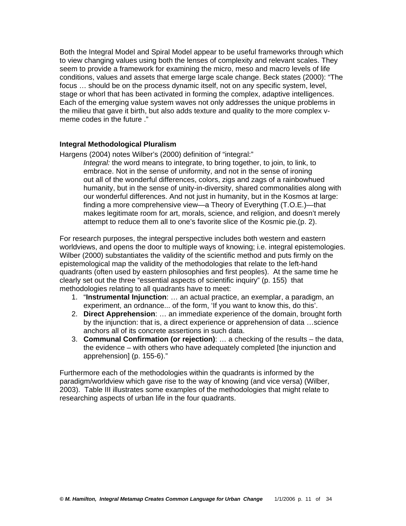Both the Integral Model and Spiral Model appear to be useful frameworks through which to view changing values using both the lenses of complexity and relevant scales. They seem to provide a framework for examining the micro, meso and macro levels of life conditions, values and assets that emerge large scale change. Beck states (2000): "The focus … should be on the process dynamic itself, not on any specific system, level, stage or whorl that has been activated in forming the complex, adaptive intelligences. Each of the emerging value system waves not only addresses the unique problems in the milieu that gave it birth, but also adds texture and quality to the more complex vmeme codes in the future ."

## **Integral Methodological Pluralism**

Hargens (2004) notes Wilber's (2000) definition of "integral:"

*Integral:* the word means to integrate, to bring together, to join, to link, to embrace. Not in the sense of uniformity, and not in the sense of ironing out all of the wonderful differences, colors, zigs and zags of a rainbowhued humanity, but in the sense of unity-in-diversity, shared commonalities along with our wonderful differences. And not just in humanity, but in the Kosmos at large: finding a more comprehensive view—a Theory of Everything (T.O.E.)—that makes legitimate room for art, morals, science, and religion, and doesn't merely attempt to reduce them all to one's favorite slice of the Kosmic pie.(p. 2).

For research purposes, the integral perspective includes both western and eastern worldviews, and opens the door to multiple ways of knowing; i.e. integral epistemologies. Wilber (2000) substantiates the validity of the scientific method and puts firmly on the epistemological map the validity of the methodologies that relate to the left-hand quadrants (often used by eastern philosophies and first peoples). At the same time he clearly set out the three "essential aspects of scientific inquiry" (p. 155) that methodologies relating to all quadrants have to meet:

- 1. "**Instrumental Injunction**: … an actual practice, an exemplar, a paradigm, an experiment, an ordnance... of the form, 'If you want to know this, do this'.
- 2. **Direct Apprehension**: … an immediate experience of the domain, brought forth by the injunction: that is, a direct experience or apprehension of data …science anchors all of its concrete assertions in such data.
- 3. **Communal Confirmation (or rejection)**: … a checking of the results the data, the evidence – with others who have adequately completed [the injunction and apprehension] (p. 155-6)."

Furthermore each of the methodologies within the quadrants is informed by the paradigm/worldview which gave rise to the way of knowing (and vice versa) (Wilber, 2003). Table III illustrates some examples of the methodologies that might relate to researching aspects of urban life in the four quadrants.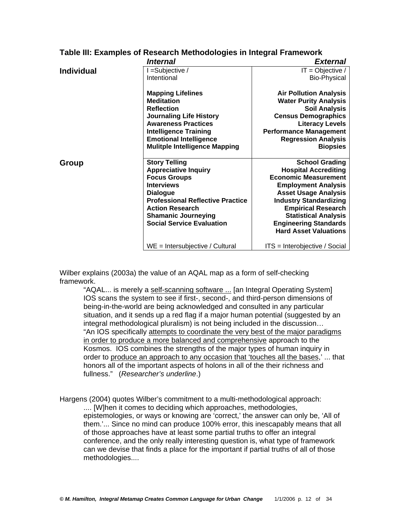|                   | <i><b>Internal</b></i>                                                                                                                                                                                                                                    | <b>External</b>                                                                                                                                                                                                                                                                                               |
|-------------------|-----------------------------------------------------------------------------------------------------------------------------------------------------------------------------------------------------------------------------------------------------------|---------------------------------------------------------------------------------------------------------------------------------------------------------------------------------------------------------------------------------------------------------------------------------------------------------------|
| <b>Individual</b> | $=$ Subjective /<br>Intentional                                                                                                                                                                                                                           | $IT = Objective /$<br><b>Bio-Physical</b>                                                                                                                                                                                                                                                                     |
|                   | <b>Mapping Lifelines</b><br><b>Meditation</b><br><b>Reflection</b><br><b>Journaling Life History</b><br><b>Awareness Practices</b><br><b>Intelligence Training</b><br><b>Emotional Intelligence</b><br><b>Mulitple Intelligence Mapping</b>               | <b>Air Pollution Analysis</b><br><b>Water Purity Analysis</b><br><b>Soil Analysis</b><br><b>Census Demographics</b><br><b>Literacy Levels</b><br><b>Performance Management</b><br><b>Regression Analysis</b><br><b>Biopsies</b>                                                                               |
| Group             | <b>Story Telling</b><br><b>Appreciative Inquiry</b><br><b>Focus Groups</b><br><b>Interviews</b><br><b>Dialogue</b><br><b>Professional Reflective Practice</b><br><b>Action Research</b><br><b>Shamanic Journeying</b><br><b>Social Service Evaluation</b> | <b>School Grading</b><br><b>Hospital Accrediting</b><br><b>Economic Measurement</b><br><b>Employment Analysis</b><br><b>Asset Usage Analysis</b><br><b>Industry Standardizing</b><br><b>Empirical Research</b><br><b>Statistical Analysis</b><br><b>Engineering Standards</b><br><b>Hard Asset Valuations</b> |
|                   | $WE = Intersubjective / Cultural$                                                                                                                                                                                                                         | $ITS = Interobjective / Social$                                                                                                                                                                                                                                                                               |

# **Table III: Examples of Research Methodologies in Integral Framework**

Wilber explains (2003a) the value of an AQAL map as a form of self-checking framework.

"AQAL... is merely a self-scanning software ... [an Integral Operating System] IOS scans the system to see if first-, second-, and third-person dimensions of being-in-the-world are being acknowledged and consulted in any particular situation, and it sends up a red flag if a major human potential (suggested by an integral methodological pluralism) is not being included in the discussion… "An IOS specifically attempts to coordinate the very best of the major paradigms in order to produce a more balanced and comprehensive approach to the Kosmos. IOS combines the strengths of the major types of human inquiry in order to produce an approach to any occasion that 'touches all the bases,' ... that honors all of the important aspects of holons in all of the their richness and fullness." (*Researcher's underline*.)

Hargens (2004) quotes Wilber's commitment to a multi-methodological approach: .... [W]hen it comes to deciding which approaches, methodologies, epistemologies, or ways or knowing are 'correct,' the answer can only be, 'All of them.'... Since no mind can produce 100% error, this inescapably means that all of those approaches have at least some partial truths to offer an integral conference, and the only really interesting question is, what type of framework can we devise that finds a place for the important if partial truths of all of those methodologies....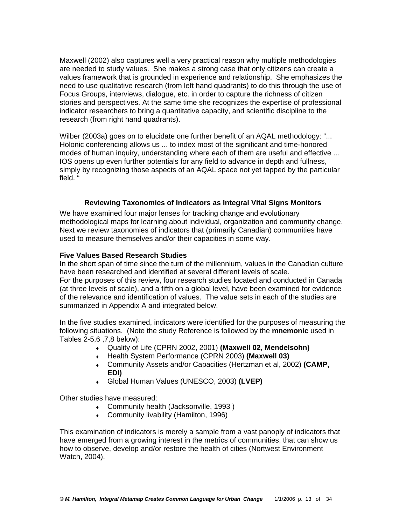Maxwell (2002) also captures well a very practical reason why multiple methodologies are needed to study values. She makes a strong case that only citizens can create a values framework that is grounded in experience and relationship. She emphasizes the need to use qualitative research (from left hand quadrants) to do this through the use of Focus Groups, interviews, dialogue, etc. in order to capture the richness of citizen stories and perspectives. At the same time she recognizes the expertise of professional indicator researchers to bring a quantitative capacity, and scientific discipline to the research (from right hand quadrants).

Wilber (2003a) goes on to elucidate one further benefit of an AQAL methodology: "... Holonic conferencing allows us ... to index most of the significant and time-honored modes of human inquiry, understanding where each of them are useful and effective ... IOS opens up even further potentials for any field to advance in depth and fullness, simply by recognizing those aspects of an AQAL space not yet tapped by the particular field. "

## **Reviewing Taxonomies of Indicators as Integral Vital Signs Monitors**

We have examined four major lenses for tracking change and evolutionary methodological maps for learning about individual, organization and community change. Next we review taxonomies of indicators that (primarily Canadian) communities have used to measure themselves and/or their capacities in some way.

## **Five Values Based Research Studies**

In the short span of time since the turn of the millennium, values in the Canadian culture have been researched and identified at several different levels of scale. For the purposes of this review, four research studies located and conducted in Canada (at three levels of scale), and a fifth on a global level, have been examined for evidence of the relevance and identification of values. The value sets in each of the studies are summarized in Appendix A and integrated below.

In the five studies examined, indicators were identified for the purposes of measuring the following situations. (Note the study Reference is followed by the **mnemonic** used in Tables 2-5,6 ,7,8 below):

- ♦ Quality of Life (CPRN 2002, 2001) **(Maxwell 02, Mendelsohn)**
- ♦ Health System Performance (CPRN 2003) **(Maxwell 03)**
- ♦ Community Assets and/or Capacities (Hertzman et al, 2002) **(CAMP, EDI)**
- ♦ Global Human Values (UNESCO, 2003) **(LVEP)**

Other studies have measured:

- Community health (Jacksonville, 1993)
- ♦ Community livability (Hamilton, 1996)

This examination of indicators is merely a sample from a vast panoply of indicators that have emerged from a growing interest in the metrics of communities, that can show us how to observe, develop and/or restore the health of cities (Nortwest Environment Watch, 2004).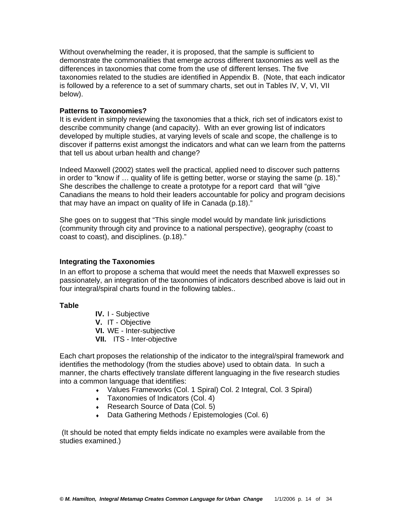Without overwhelming the reader, it is proposed, that the sample is sufficient to demonstrate the commonalities that emerge across different taxonomies as well as the differences in taxonomies that come from the use of different lenses. The five taxonomies related to the studies are identified in Appendix B. (Note, that each indicator is followed by a reference to a set of summary charts, set out in Tables IV, V, VI, VII below).

## **Patterns to Taxonomies?**

It is evident in simply reviewing the taxonomies that a thick, rich set of indicators exist to describe community change (and capacity). With an ever growing list of indicators developed by multiple studies, at varying levels of scale and scope, the challenge is to discover if patterns exist amongst the indicators and what can we learn from the patterns that tell us about urban health and change?

Indeed Maxwell (2002) states well the practical, applied need to discover such patterns in order to "know if … quality of life is getting better, worse or staying the same (p. 18)." She describes the challenge to create a prototype for a report card that will "give Canadians the means to hold their leaders accountable for policy and program decisions that may have an impact on quality of life in Canada (p.18)."

She goes on to suggest that "This single model would by mandate link jurisdictions (community through city and province to a national perspective), geography (coast to coast to coast), and disciplines. (p.18)."

## **Integrating the Taxonomies**

In an effort to propose a schema that would meet the needs that Maxwell expresses so passionately, an integration of the taxonomies of indicators described above is laid out in four integral/spiral charts found in the following tables..

## **Table**

- **IV.** I Subjective
- **V.** IT Objective
- **VI.** WE Inter-subjective
- **VII.** ITS Inter-objective

Each chart proposes the relationship of the indicator to the integral/spiral framework and identifies the methodology (from the studies above) used to obtain data. In such a manner, the charts effectively translate different languaging in the five research studies into a common language that identifies:

- ♦ Values Frameworks (Col. 1 Spiral) Col. 2 Integral, Col. 3 Spiral)
- ♦ Taxonomies of Indicators (Col. 4)
- Research Source of Data (Col. 5)
- ♦ Data Gathering Methods / Epistemologies (Col. 6)

 (It should be noted that empty fields indicate no examples were available from the studies examined.)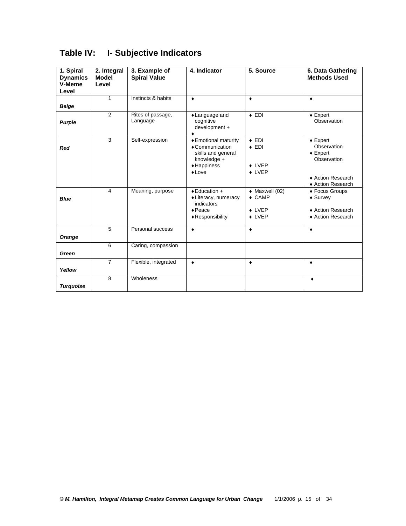| 1. Spiral<br><b>Dynamics</b><br>V-Meme<br>Level | 2. Integral<br><b>Model</b><br>Level | 3. Example of<br><b>Spiral Value</b> | 4. Indicator                                                                                                    | 5. Source                                                                      | 6. Data Gathering<br><b>Methods Used</b>                                                                         |
|-------------------------------------------------|--------------------------------------|--------------------------------------|-----------------------------------------------------------------------------------------------------------------|--------------------------------------------------------------------------------|------------------------------------------------------------------------------------------------------------------|
| <b>Beige</b>                                    | $\mathbf{1}$                         | Instincts & habits                   | $\bullet$                                                                                                       | ٠                                                                              | ۰                                                                                                                |
| <b>Purple</b>                                   | 2                                    | Rites of passage,<br>Language        | ◆ Language and<br>cognitive<br>development +                                                                    | $\triangle$ EDI                                                                | $\bullet$ Expert<br>Observation                                                                                  |
| Red                                             | $\overline{3}$                       | Self-expression                      | ♦ Emotional maturity<br>◆ Communication<br>skills and general<br>knowledge +<br>◆ Happiness<br>$\triangle$ Love | $\triangle$ EDI<br>$\triangle$ EDI<br>$+$ LVEP<br>$\bullet$ LVEP               | $\triangle$ Expert<br>Observation<br>$\triangle$ Expert<br>Observation<br>◆ Action Research<br>◆ Action Research |
| <b>Blue</b>                                     | $\overline{4}$                       | Meaning, purpose                     | $\triangle$ Education +<br>• Literacy, numeracy<br>indicators<br>$\bullet$ Peace<br>◆ Responsibility            | $\bullet$ Maxwell (02)<br>$\triangle$ CAMP<br>$\bullet$ LVEP<br>$\bullet$ LVEP | ◆ Focus Groups<br>$\bullet$ Survey<br>◆ Action Research<br>◆ Action Research                                     |
| Orange                                          | 5                                    | Personal success                     | $\bullet$                                                                                                       | ٠                                                                              | ٠                                                                                                                |
| Green                                           | 6                                    | Caring, compassion                   |                                                                                                                 |                                                                                |                                                                                                                  |
| Yellow                                          | $\overline{7}$                       | Flexible, integrated                 | $\bullet$                                                                                                       | ٠                                                                              | ۰                                                                                                                |
| <b>Turquoise</b>                                | 8                                    | Wholeness                            |                                                                                                                 |                                                                                | ٠                                                                                                                |

# **Table IV: I- Subjective Indicators**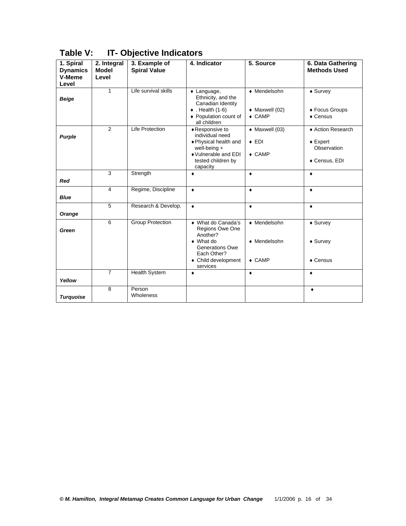| 1. Spiral<br><b>Dynamics</b><br>V-Meme<br>Level | 2. Integral<br>Model<br>Level | 3. Example of<br><b>Spiral Value</b> | 4. Indicator                                                                                                                                       | $\overline{5}$ . Source                                            | 6. Data Gathering<br><b>Methods Used</b>                              |
|-------------------------------------------------|-------------------------------|--------------------------------------|----------------------------------------------------------------------------------------------------------------------------------------------------|--------------------------------------------------------------------|-----------------------------------------------------------------------|
| <b>Beige</b>                                    | 1                             | Life survival skills                 | $\bullet$ Language,<br>Ethnicity, and the<br>Canadian Identity<br>$\bullet$ . Health (1-6)<br>♦ Population count of<br>all children                | $\bullet$ Mendelsohn<br>$\bullet$ Maxwell (02)<br>$\triangle$ CAMP | $\bullet$ Survey<br>◆ Focus Groups<br>$\triangle$ Census              |
| <b>Purple</b>                                   | $\overline{2}$                | <b>Life Protection</b>               | ◆ Responsive to<br>individual need<br>◆ Physical health and<br>well-being +<br>◆ Vulnerable and EDI<br>tested children by<br>capacity              | $\bullet$ Maxwell (03)<br>$\triangle$ EDI<br>$\triangle$ CAMP      | ◆ Action Research<br>$\bullet$ Expert<br>Observation<br>◆ Census, EDI |
| Red                                             | 3                             | Strength                             | $\bullet$                                                                                                                                          | ٠                                                                  | ۰                                                                     |
| <b>Blue</b>                                     | $\overline{4}$                | Regime, Discipline                   | $\bullet$                                                                                                                                          | ٠                                                                  | ٠                                                                     |
| Orange                                          | 5                             | Research & Develop.                  | $\bullet$                                                                                                                                          | ٠                                                                  | ٠                                                                     |
| Green                                           | 6                             | <b>Group Protection</b>              | ♦ What do Canada's<br>Regions Owe One<br>Another?<br>$\bullet$ What do<br><b>Generations Owe</b><br>Each Other?<br>• Child development<br>services | • Mendelsohn<br>$\bullet$ Mendelsohn<br>$\triangle$ CAMP           | $\bullet$ Survey<br>$\bullet$ Survey<br>$\triangle$ Census            |
| Yellow                                          | $\overline{7}$                | <b>Health System</b>                 | ٠                                                                                                                                                  | ٠                                                                  | ٠                                                                     |
| <b>Turquoise</b>                                | $\overline{8}$                | Person<br>Wholeness                  |                                                                                                                                                    |                                                                    | ٠                                                                     |

**Table V: IT- Objective Indicators**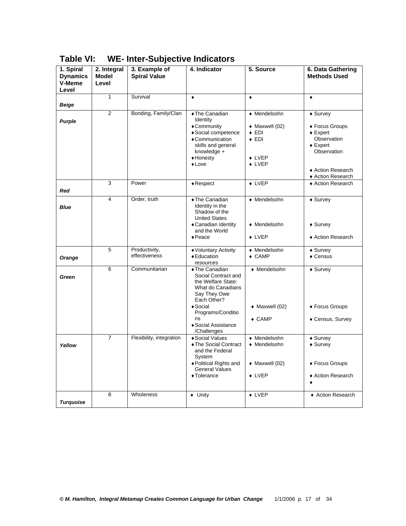| 1. Spiral<br><b>Dynamics</b><br>V-Meme<br>Level | 2. Integral<br><b>Model</b><br>Level | 3. Example of<br><b>Spiral Value</b> | 4. Indicator                                                                                                                                                        | 5. Source                                                                                                                | 6. Data Gathering<br><b>Methods Used</b>                                                                                                                 |
|-------------------------------------------------|--------------------------------------|--------------------------------------|---------------------------------------------------------------------------------------------------------------------------------------------------------------------|--------------------------------------------------------------------------------------------------------------------------|----------------------------------------------------------------------------------------------------------------------------------------------------------|
| <b>Beige</b>                                    | $\mathbf{1}$                         | Survival                             | $\bullet$                                                                                                                                                           | $\bullet$                                                                                                                | $\bullet$                                                                                                                                                |
| <b>Purple</b>                                   | $\overline{2}$                       | Bonding, Family/Clan                 | ◆ The Canadian<br>Identity<br>◆ Community<br>◆ Social competence<br>♦ Communication<br>skills and general<br>knowledge +<br>$\triangle$ Honesty<br>$\triangle$ Love | • Mendelsohn<br>$\bullet$ Maxwell (02)<br><b>EDI</b><br>$\bullet$<br>$\triangle$ EDI<br>$\bullet$ LVEP<br>$\bullet$ LVEP | $\triangle$ Survey<br>◆ Focus Groups<br>$\triangle$ Expert<br>Observation<br>$\triangle$ Expert<br>Observation<br>◆ Action Research<br>◆ Action Research |
| Red                                             | 3                                    | Power                                | $\bullet$ Respect                                                                                                                                                   | $\bullet$ LVEP                                                                                                           | ◆ Action Research                                                                                                                                        |
| <b>Blue</b>                                     | $\overline{\mathbf{4}}$              | Order, truth                         | ◆ The Canadian<br>Identity in the<br>Shadow of the<br><b>United States</b><br>◆ Canadian Identity<br>and the World<br>$\bullet$ Peace                               | • Mendelsohn<br>• Mendelsohn<br>$\bullet$ LVEP                                                                           | $\triangle$ Survey<br>$\triangle$ Survey<br>◆ Action Research                                                                                            |
| Orange                                          | 5                                    | Productivity,<br>effectiveness       | ◆ Voluntary Activity<br>◆ Education<br>resources                                                                                                                    | • Mendelsohn<br>$\bullet$ CAMP                                                                                           | $\triangleleft$ Survey<br>$\triangle$ Census                                                                                                             |
| Green                                           | 6                                    | Communitarian                        | ◆ The Canadian<br>Social Contract and<br>the Welfare State:<br>What do Canadians<br>Say They Owe<br>Each Other?<br>$\triangle$ Social                               | • Mendelsohn<br>$\bullet$ Maxwell (02)                                                                                   | $\triangleleft$ Survey<br>◆ Focus Groups                                                                                                                 |
|                                                 |                                      |                                      | Programs/Conditio<br>ns<br>◆ Social Assistance<br>/Challenges                                                                                                       | $\bullet$ CAMP                                                                                                           | ◆ Census, Survey                                                                                                                                         |
| Yellow                                          | $\overline{7}$                       | Flexibility, integration             | ◆ Social Values<br>◆ The Social Contract<br>and the Federal<br>System<br>◆ Political Rights and<br><b>General Values</b><br>$\blacklozenge$ Tolerance               | • Mendelsohn<br>• Mendelsohn<br>$\bullet$ Maxwell (02)<br>$\bullet$ LVEP                                                 | $\triangleleft$ Survey<br>$\triangle$ Survey<br>◆ Focus Groups<br>◆ Action Research                                                                      |
| <b>Turquoise</b>                                | 8                                    | Wholeness                            | $\bullet$ Unity                                                                                                                                                     | $\bullet$ LVEP                                                                                                           | ◆ Action Research                                                                                                                                        |

# **Table VI: WE- Inter-Subjective Indicators**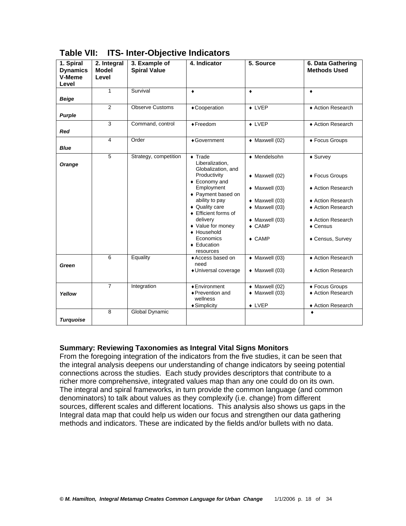| 1. Spiral<br><b>Dynamics</b><br>V-Meme<br>Level | 2. Integral<br><b>Model</b><br>Level | 3. Example of<br><b>Spiral Value</b> | 4. Indicator                                             | 5. Source              | 6. Data Gathering<br><b>Methods Used</b> |
|-------------------------------------------------|--------------------------------------|--------------------------------------|----------------------------------------------------------|------------------------|------------------------------------------|
|                                                 | 1                                    | Survival                             | ٠                                                        | ٠                      | ٠                                        |
| <b>Beige</b>                                    |                                      |                                      |                                                          |                        |                                          |
|                                                 | $\overline{2}$                       | <b>Observe Customs</b>               | ◆ Cooperation                                            | $\bullet$ LVEP         | ◆ Action Research                        |
| Purple                                          |                                      |                                      |                                                          |                        |                                          |
|                                                 | 3                                    | Command, control                     | $\bullet$ Freedom                                        | $\bullet$ LVEP         | ◆ Action Research                        |
| <b>Red</b>                                      |                                      |                                      |                                                          |                        |                                          |
|                                                 | $\overline{4}$                       | Order                                | $\triangle$ Government                                   | $\bullet$ Maxwell (02) | ◆ Focus Groups                           |
| <b>Blue</b>                                     |                                      |                                      |                                                          |                        |                                          |
|                                                 | 5                                    |                                      |                                                          |                        |                                          |
| Orange                                          |                                      | Strategy, competition                | $\bullet$ Trade<br>Liberalization,<br>Globalization, and | • Mendelsohn           | $\triangle$ Survey                       |
|                                                 |                                      |                                      | Productivity                                             | $\bullet$ Maxwell (02) | ◆ Focus Groups                           |
|                                                 |                                      |                                      | $\triangleleft$ Economy and<br>Employment                |                        | ◆ Action Research                        |
|                                                 |                                      |                                      | ◆ Payment based on                                       | $\bullet$ Maxwell (03) |                                          |
|                                                 |                                      |                                      | ability to pay                                           | $\bullet$ Maxwell (03) | ◆ Action Research                        |
|                                                 |                                      |                                      | • Quality care                                           | $\bullet$ Maxwell (03) | ◆ Action Research                        |
|                                                 |                                      |                                      | ♦ Efficient forms of                                     |                        |                                          |
|                                                 |                                      |                                      | delivery                                                 | $\bullet$ Maxwell (03) | ◆ Action Research                        |
|                                                 |                                      |                                      | • Value for money<br>◆ Household                         | $\triangle$ CAMP       | $\triangle$ Census                       |
|                                                 |                                      |                                      | Economics                                                | $\bullet$ CAMP         | ◆ Census, Survey                         |
|                                                 |                                      |                                      | ♦ Education                                              |                        |                                          |
|                                                 |                                      |                                      | resources                                                |                        |                                          |
|                                                 | 6                                    | Equality                             | ◆ Access based on                                        | $\bullet$ Maxwell (03) | ◆ Action Research                        |
| Green                                           |                                      |                                      | need<br>♦ Universal coverage                             | $\bullet$ Maxwell (03) | ◆ Action Research                        |
|                                                 |                                      |                                      |                                                          |                        |                                          |
|                                                 | $\overline{7}$                       | Integration                          | ◆ Environment                                            | $\bullet$ Maxwell (02) | ◆ Focus Groups                           |
| Yellow                                          |                                      |                                      | ◆ Prevention and<br>wellness                             | $\bullet$ Maxwell (03) | ◆ Action Research                        |
|                                                 |                                      |                                      | $\triangle$ Simplicity                                   | $\bullet$ LVEP         | ◆ Action Research                        |
|                                                 | 8                                    | Global Dynamic                       |                                                          |                        |                                          |
| <b>Turquoise</b>                                |                                      |                                      |                                                          |                        |                                          |

**Table VII: ITS- Inter-Objective Indicators** 

## **Summary: Reviewing Taxonomies as Integral Vital Signs Monitors**

From the foregoing integration of the indicators from the five studies, it can be seen that the integral analysis deepens our understanding of change indicators by seeing potential connections across the studies. Each study provides descriptors that contribute to a richer more comprehensive, integrated values map than any one could do on its own. The integral and spiral frameworks, in turn provide the common language (and common denominators) to talk about values as they complexify (i.e. change) from different sources, different scales and different locations. This analysis also shows us gaps in the Integral data map that could help us widen our focus and strengthen our data gathering methods and indicators. These are indicated by the fields and/or bullets with no data.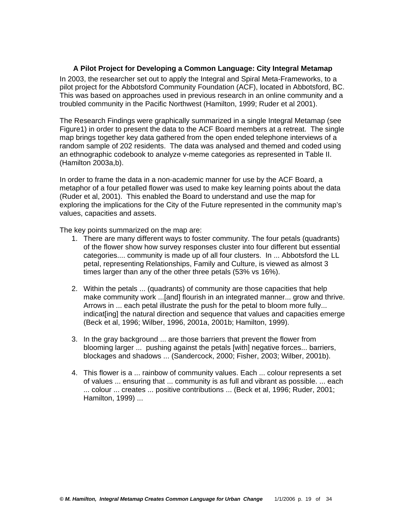## **A Pilot Project for Developing a Common Language: City Integral Metamap**

In 2003, the researcher set out to apply the Integral and Spiral Meta-Frameworks, to a pilot project for the Abbotsford Community Foundation (ACF), located in Abbotsford, BC. This was based on approaches used in previous research in an online community and a troubled community in the Pacific Northwest (Hamilton, 1999; Ruder et al 2001).

The Research Findings were graphically summarized in a single Integral Metamap (see Figure1) in order to present the data to the ACF Board members at a retreat. The single map brings together key data gathered from the open ended telephone interviews of a random sample of 202 residents. The data was analysed and themed and coded using an ethnographic codebook to analyze v-meme categories as represented in Table II. (Hamilton 2003a,b).

In order to frame the data in a non-academic manner for use by the ACF Board, a metaphor of a four petalled flower was used to make key learning points about the data (Ruder et al, 2001). This enabled the Board to understand and use the map for exploring the implications for the City of the Future represented in the community map's values, capacities and assets.

The key points summarized on the map are:

- 1. There are many different ways to foster community. The four petals (quadrants) of the flower show how survey responses cluster into four different but essential categories.... community is made up of all four clusters. In ... Abbotsford the LL petal, representing Relationships, Family and Culture, is viewed as almost 3 times larger than any of the other three petals (53% vs 16%).
- 2. Within the petals ... (quadrants) of community are those capacities that help make community work ...[and] flourish in an integrated manner... grow and thrive. Arrows in ... each petal illustrate the push for the petal to bloom more fully... indicat[ing] the natural direction and sequence that values and capacities emerge (Beck et al, 1996; Wilber, 1996, 2001a, 2001b; Hamilton, 1999).
- 3. In the gray background ... are those barriers that prevent the flower from blooming larger ... pushing against the petals [with] negative forces... barriers, blockages and shadows ... (Sandercock, 2000; Fisher, 2003; Wilber, 2001b).
- 4. This flower is a ... rainbow of community values. Each ... colour represents a set of values ... ensuring that ... community is as full and vibrant as possible. ... each ... colour ... creates ... positive contributions ... (Beck et al, 1996; Ruder, 2001; Hamilton, 1999) ...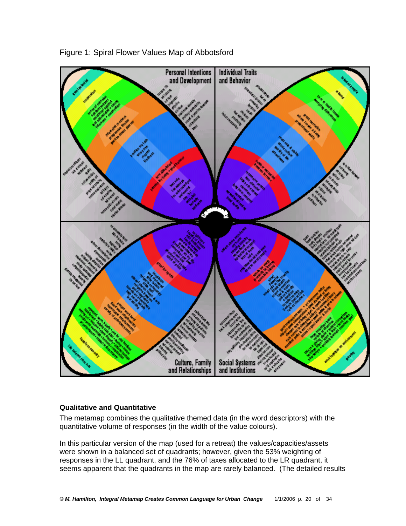



## **Qualitative and Quantitative**

The metamap combines the qualitative themed data (in the word descriptors) with the quantitative volume of responses (in the width of the value colours).

In this particular version of the map (used for a retreat) the values/capacities/assets were shown in a balanced set of quadrants; however, given the 53% weighting of responses in the LL quadrant, and the 76% of taxes allocated to the LR quadrant, it seems apparent that the quadrants in the map are rarely balanced. (The detailed results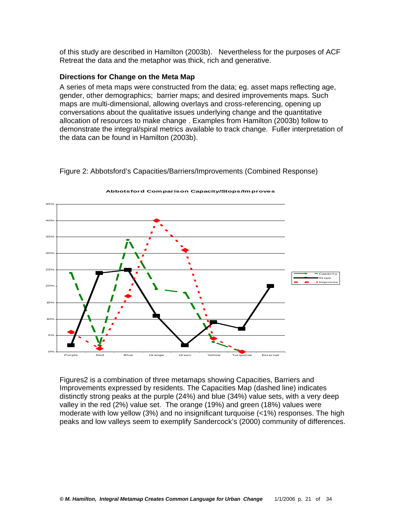of this study are described in Hamilton (2003b). Nevertheless for the purposes of ACF Retreat the data and the metaphor was thick, rich and generative.

## **Directions for Change on the Meta Map**

A series of meta maps were constructed from the data; eg. asset maps reflecting age, gender, other demographics; barrier maps; and desired improvements maps. Such maps are multi-dimensional, allowing overlays and cross-referencing, opening up conversations about the qualitative issues underlying change and the quantitative allocation of resources to make change . Examples from Hamilton (2003b) follow to demonstrate the integral/spiral metrics available to track change. Fuller interpretation of the data can be found in Hamilton (2003b).



Figure 2: Abbotsford's Capacities/Barriers/Improvements (Combined Response)

Figures2 is a combination of three metamaps showing Capacities, Barriers and Improvements expressed by residents. The Capacities Map (dashed line) indicates distinctly strong peaks at the purple (24%) and blue (34%) value sets, with a very deep valley in the red (2%) value set. The orange (19%) and green (18%) values were moderate with low yellow (3%) and no insignificant turquoise (<1%) responses. The high peaks and low valleys seem to exemplify Sandercock's (2000) community of differences.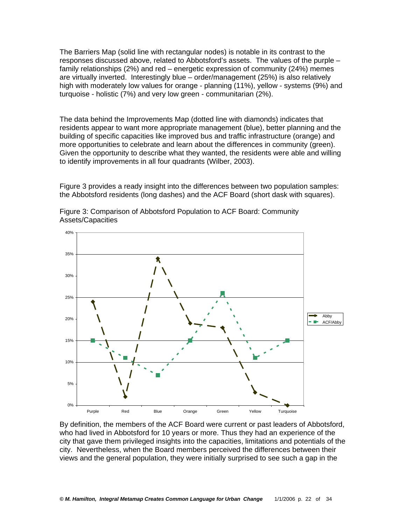The Barriers Map (solid line with rectangular nodes) is notable in its contrast to the responses discussed above, related to Abbotsford's assets. The values of the purple – family relationships (2%) and red – energetic expression of community (24%) memes are virtually inverted. Interestingly blue – order/management (25%) is also relatively high with moderately low values for orange - planning (11%), yellow - systems (9%) and turquoise - holistic (7%) and very low green - communitarian (2%).

The data behind the Improvements Map (dotted line with diamonds) indicates that residents appear to want more appropriate management (blue), better planning and the building of specific capacities like improved bus and traffic infrastructure (orange) and more opportunities to celebrate and learn about the differences in community (green). Given the opportunity to describe what they wanted, the residents were able and willing to identify improvements in all four quadrants (Wilber, 2003).

Figure 3 provides a ready insight into the differences between two population samples: the Abbotsford residents (long dashes) and the ACF Board (short dask with squares).



Figure 3: Comparison of Abbotsford Population to ACF Board: Community Assets/Capacities

who had lived in Abbotsford for 10 years or more. Thus they had an experience of the city that gave them privileged insights into the capacities, limitations and potentials of the city. Nevertheless, when the Board members perceived the differences between their views and the general population, they were initially surprised to see such a gap in the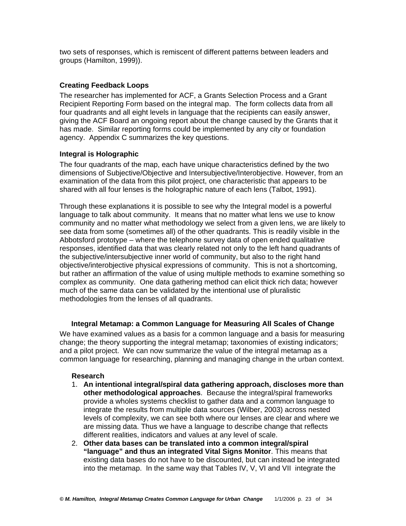two sets of responses, which is remiscent of different patterns between leaders and groups (Hamilton, 1999)).

## **Creating Feedback Loops**

The researcher has implemented for ACF, a Grants Selection Process and a Grant Recipient Reporting Form based on the integral map. The form collects data from all four quadrants and all eight levels in language that the recipients can easily answer, giving the ACF Board an ongoing report about the change caused by the Grants that it has made. Similar reporting forms could be implemented by any city or foundation agency. Appendix C summarizes the key questions.

## **Integral is Holographic**

The four quadrants of the map, each have unique characteristics defined by the two dimensions of Subjective/Objective and Intersubjective/Interobjective. However, from an examination of the data from this pilot project, one characteristic that appears to be shared with all four lenses is the holographic nature of each lens (Talbot, 1991).

Through these explanations it is possible to see why the Integral model is a powerful language to talk about community. It means that no matter what lens we use to know community and no matter what methodology we select from a given lens, we are likely to see data from some (sometimes all) of the other quadrants. This is readily visible in the Abbotsford prototype – where the telephone survey data of open ended qualitative responses, identified data that was clearly related not only to the left hand quadrants of the subjective/intersubjective inner world of community, but also to the right hand objective/interobjective physical expressions of community. This is not a shortcoming, but rather an affirmation of the value of using multiple methods to examine something so complex as community. One data gathering method can elicit thick rich data; however much of the same data can be validated by the intentional use of pluralistic methodologies from the lenses of all quadrants.

## **Integral Metamap: a Common Language for Measuring All Scales of Change**

We have examined values as a basis for a common language and a basis for measuring change; the theory supporting the integral metamap; taxonomies of existing indicators; and a pilot project. We can now summarize the value of the integral metamap as a common language for researching, planning and managing change in the urban context.

## **Research**

- 1. **An intentional integral/spiral data gathering approach, discloses more than other methodological approaches**. Because the integral/spiral frameworks provide a wholes systems checklist to gather data and a common language to integrate the results from multiple data sources (Wilber, 2003) across nested levels of complexity, we can see both where our lenses are clear and where we are missing data. Thus we have a language to describe change that reflects different realities, indicators and values at any level of scale.
- 2. **Other data bases can be translated into a common integral/spiral "language" and thus an integrated Vital Signs Monitor**. This means that existing data bases do not have to be discounted, but can instead be integrated into the metamap. In the same way that Tables IV, V, VI and VII integrate the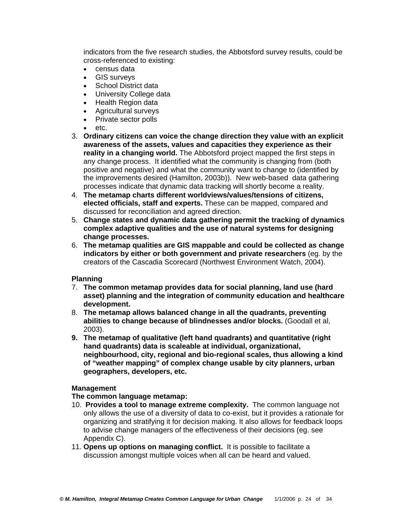indicators from the five research studies, the Abbotsford survey results, could be cross-referenced to existing:

- census data
- GIS surveys
- School District data
- University College data
- Health Region data
- Agricultural surveys
- Private sector polls
- etc.
- 3. **Ordinary citizens can voice the change direction they value with an explicit awareness of the assets, values and capacities they experience as their reality in a changing world.** The Abbotsford project mapped the first steps in any change process. It identified what the community is changing from (both positive and negative) and what the community want to change to (identified by the improvements desired (Hamilton, 2003b)). New web-based data gathering processes indicate that dynamic data tracking will shortly become a reality.
- 4. **The metamap charts different worldviews/values/tensions of citizens, elected officials, staff and experts.** These can be mapped, compared and discussed for reconciliation and agreed direction.
- 5. **Change states and dynamic data gathering permit the tracking of dynamics complex adaptive qualities and the use of natural systems for designing change processes.**
- 6. **The metamap qualities are GIS mappable and could be collected as change indicators by either or both government and private researchers** (eg. by the creators of the Cascadia Scorecard (Northwest Environment Watch, 2004).

## **Planning**

- 7. **The common metamap provides data for social planning, land use (hard asset) planning and the integration of community education and healthcare development.**
- 8. **The metamap allows balanced change in all the quadrants, preventing abilities to change because of blindnesses and/or blocks.** (Goodall et al, 2003).
- **9. The metamap of qualitative (left hand quadrants) and quantitative (right hand quadrants) data is scaleable at individual, organizational, neighbourhood, city, regional and bio-regional scales, thus allowing a kind of "weather mapping" of complex change usable by city planners, urban geographers, developers, etc.**

## **Management**

## **The common language metamap:**

- 10. **Provides a tool to manage extreme complexity.** The common language not only allows the use of a diversity of data to co-exist, but it provides a rationale for organizing and stratifying it for decision making. It also allows for feedback loops to advise change managers of the effectiveness of their decisions (eg. see Appendix C).
- 11. **Opens up options on managing conflict.** It is possible to facilitate a discussion amongst multiple voices when all can be heard and valued.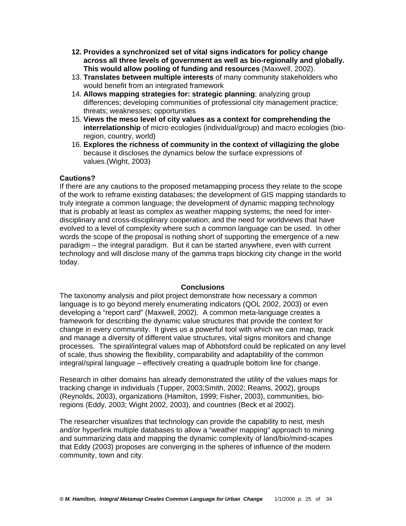- **12. Provides a synchronized set of vital signs indicators for policy change across all three levels of government as well as bio-regionally and globally. This would allow pooling of funding and resources** (Maxwell, 2002).
- 13. **Translates between multiple interests** of many community stakeholders who would benefit from an integrated framework
- 14. **Allows mapping strategies for: strategic planning**; analyzing group differences; developing communities of professional city management practice; threats; weaknesses; opportunities
- 15. **Views the meso level of city values as a context for comprehending the interrelationship** of micro ecologies (individual/group) and macro ecologies (bioregion, country, world)
- 16. **Explores the richness of community in the context of villagizing the globe** because it discloses the dynamics below the surface expressions of values.(Wight, 2003)

## **Cautions?**

If there are any cautions to the proposed metamapping process they relate to the scope of the work to reframe existing databases; the development of GIS mapping standards to truly integrate a common language; the development of dynamic mapping technology that is probably at least as complex as weather mapping systems; the need for interdisciplinary and cross-disciplinary cooperation; and the need for worldviews that have evolved to a level of complexity where such a common language can be used. In other words the scope of the proposal is nothing short of supporting the emergence of a new paradigm – the integral paradigm. But it can be started anywhere, even with current technology and will disclose many of the gamma traps blocking city change in the world today.

## **Conclusions**

The taxonomy analysis and pilot project demonstrate how necessary a common language is to go beyond merely enumerating indicators (QOL 2002, 2003) or even developing a "report card" (Maxwell, 2002). A common meta-language creates a framework for describing the dynamic value structures that provide the context for change in every community. It gives us a powerful tool with which we can map, track and manage a diversity of different value structures, vital signs monitors and change processes. The spiral/integral values map of Abbotsford could be replicated on any level of scale, thus showing the flexibility, comparability and adaptability of the common integral/spiral language – effectively creating a quadruple bottom line for change.

Research in other domains has already demonstrated the utility of the values maps for tracking change in individuals (Tupper, 2003;Smith, 2002; Reams, 2002), groups (Reynolds, 2003), organizations (Hamilton, 1999; Fisher, 2003), communities, bioregions (Eddy, 2003; Wight 2002, 2003), and countries (Beck et al 2002).

The researcher visualizes that technology can provide the capability to nest, mesh and/or hyperlink multiple databases to allow a "weather mapping" approach to mining and summarizing data and mapping the dynamic complexity of land/bio/mind-scapes that Eddy (2003) proposes are converging in the spheres of influence of the modern community, town and city.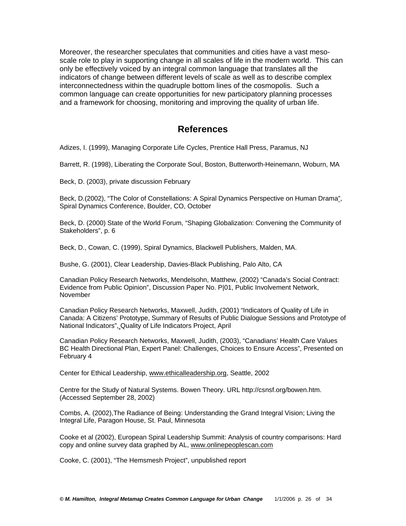Moreover, the researcher speculates that communities and cities have a vast mesoscale role to play in supporting change in all scales of life in the modern world. This can only be effectively voiced by an integral common language that translates all the indicators of change between different levels of scale as well as to describe complex interconnectedness within the quadruple bottom lines of the cosmopolis. Such a common language can create opportunities for new participatory planning processes and a framework for choosing, monitoring and improving the quality of urban life.

## **References**

Adizes, I. (1999), Managing Corporate Life Cycles, Prentice Hall Press, Paramus, NJ

Barrett, R. (1998), Liberating the Corporate Soul, Boston, Butterworth-Heinemann, Woburn, MA

Beck, D. (2003), private discussion February

Beck, D.(2002), "The Color of Constellations: A Spiral Dynamics Perspective on Human Drama", Spiral Dynamics Conference, Boulder, CO, October

Beck, D. (2000) State of the World Forum, "Shaping Globalization: Convening the Community of Stakeholders", p. 6

Beck, D., Cowan, C. (1999), Spiral Dynamics, Blackwell Publishers, Malden, MA.

Bushe, G. (2001), Clear Leadership, Davies-Black Publishing, Palo Alto, CA

Canadian Policy Research Networks, Mendelsohn, Matthew, (2002) "Canada's Social Contract: Evidence from Public Opinion", Discussion Paper No. P|01, Public Involvement Network, November

Canadian Policy Research Networks, Maxwell, Judith, (2001) "Indicators of Quality of Life in Canada: A Citizens' Prototype, Summary of Results of Public Dialogue Sessions and Prototype of National Indicators", Quality of Life Indicators Project, April

Canadian Policy Research Networks, Maxwell, Judith, (2003), "Canadians' Health Care Values BC Health Directional Plan, Expert Panel: Challenges, Choices to Ensure Access", Presented on February 4

Center for Ethical Leadership, [www.ethicalleadership.org,](http://www.ethicalleadership.org/) Seattle, 2002

Centre for the Study of Natural Systems. Bowen Theory. URL http://csnsf.org/bowen.htm. (Accessed September 28, 2002)

Combs, A. (2002),The Radiance of Being: Understanding the Grand Integral Vision; Living the Integral Life, Paragon House, St. Paul, Minnesota

Cooke et al (2002), European Spiral Leadership Summit: Analysis of country comparisons: Hard copy and online survey data graphed by AL, [www.onlinepeoplescan.com](http://www.onlinepeoplescan.com/) 

Cooke, C. (2001), "The Hemsmesh Project", unpublished report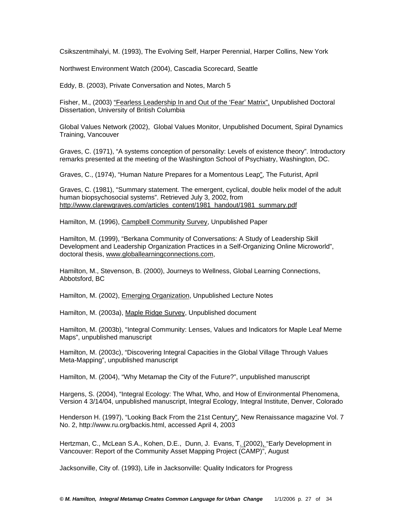Csikszentmihalyi, M. (1993), The Evolving Self, Harper Perennial, Harper Collins, New York

Northwest Environment Watch (2004), Cascadia Scorecard, Seattle

Eddy, B. (2003), Private Conversation and Notes, March 5

Fisher, M., (2003) "Fearless Leadership In and Out of the 'Fear' Matrix", Unpublished Doctoral Dissertation, University of British Columbia

Global Values Network (2002), Global Values Monitor, Unpublished Document, Spiral Dynamics Training, Vancouver

Graves, C. (1971), "A systems conception of personality: Levels of existence theory". Introductory remarks presented at the meeting of the Washington School of Psychiatry, Washington, DC.

Graves, C., (1974), "Human Nature Prepares for a Momentous Leap", The Futurist, April

Graves, C. (1981), "Summary statement. The emergent, cyclical, double helix model of the adult human biopsychosocial systems". Retrieved July 3, 2002, from [http://www.clarewgraves.com/articles\\_content/1981\\_handout/1981\\_summary.pdf](http://www.clarewgraves.com/articles_content/1981_handout/1981_summary.pdf)

Hamilton, M. (1996), Campbell Community Survey, Unpublished Paper

Hamilton, M. (1999), "Berkana Community of Conversations: A Study of Leadership Skill Development and Leadership Organization Practices in a Self-Organizing Online Microworld", doctoral thesis, [www.globallearningconnections.com,](http://www.globallearningconnections.com/)

Hamilton, M., Stevenson, B. (2000), Journeys to Wellness, Global Learning Connections, Abbotsford, BC

Hamilton, M. (2002), *Emerging Organization*, Unpublished Lecture Notes

Hamilton, M. (2003a), Maple Ridge Survey, Unpublished document

Hamilton, M. (2003b), "Integral Community: Lenses, Values and Indicators for Maple Leaf Meme Maps", unpublished manuscript

Hamilton, M. (2003c), "Discovering Integral Capacities in the Global Village Through Values Meta-Mapping", unpublished manuscript

Hamilton, M. (2004), "Why Metamap the City of the Future?", unpublished manuscript

Hargens, S. (2004), "Integral Ecology: The What, Who, and How of Environmental Phenomena, Version 4 3/14/04, unpublished manuscript, Integral Ecology, Integral Institute, Denver, Colorado

Henderson H. (1997), "Looking Back From the 21st Century", New Renaissance magazine Vol. 7 No. 2, [http://www.ru.org/backis.html,](http://www.ru.org/backis.html) accessed April 4, 2003

Hertzman, C., McLean S.A., Kohen, D.E., Dunn, J. Evans, T. (2002), "Early Development in Vancouver: Report of the Community Asset Mapping Project (CAMP)", August

Jacksonville, City of. (1993), Life in Jacksonville: Quality Indicators for Progress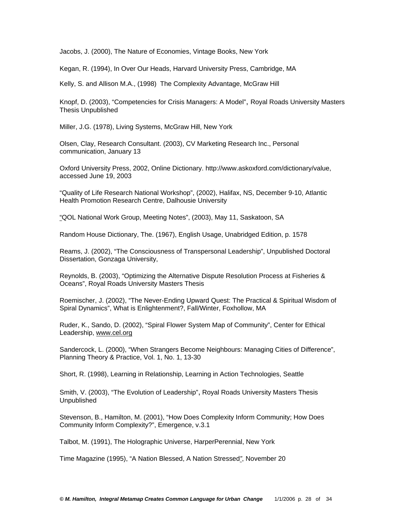Jacobs, J. (2000), The Nature of Economies, Vintage Books, New York

Kegan, R. (1994), In Over Our Heads, Harvard University Press, Cambridge, MA

Kelly, S. and Allison M.A., (1998) The Complexity Advantage, McGraw Hill

Knopf, D. (2003), "Competencies for Crisis Managers: A Model", Royal Roads University Masters Thesis Unpublished

Miller, J.G. (1978), Living Systems, McGraw Hill, New York

Olsen, Clay, Research Consultant. (2003), CV Marketing Research Inc., Personal communication, January 13

Oxford University Press, 2002, Online Dictionary. [http://www.askoxford.com/dictionary/value,](http://www.askoxford.com/dictionary/value) accessed June 19, 2003

"Quality of Life Research National Workshop", (2002), Halifax, NS, December 9-10, Atlantic Health Promotion Research Centre, Dalhousie University

"QOL National Work Group, Meeting Notes", (2003), May 11, Saskatoon, SA

Random House Dictionary, The. (1967), English Usage, Unabridged Edition, p. 1578

Reams, J. (2002), "The Consciousness of Transpersonal Leadership", Unpublished Doctoral Dissertation, Gonzaga University,

Reynolds, B. (2003), "Optimizing the Alternative Dispute Resolution Process at Fisheries & Oceans", Royal Roads University Masters Thesis

Roemischer, J. (2002), "The Never-Ending Upward Quest: The Practical & Spiritual Wisdom of Spiral Dynamics", What is Enlightenment?, Fall/Winter, Foxhollow, MA

Ruder, K., Sando, D. (2002), "Spiral Flower System Map of Community", Center for Ethical Leadership, [www.cel.org](http://www.cel.org/) 

Sandercock, L. (2000), "When Strangers Become Neighbours: Managing Cities of Difference", Planning Theory & Practice, Vol. 1, No. 1, 13-30

Short, R. (1998), Learning in Relationship, Learning in Action Technologies, Seattle

Smith, V. (2003), "The Evolution of Leadership", Royal Roads University Masters Thesis Unpublished

Stevenson, B., Hamilton, M. (2001), "How Does Complexity Inform Community; How Does Community Inform Complexity?", Emergence, v.3.1

Talbot, M. (1991), The Holographic Universe, HarperPerennial, New York

Time Magazine (1995), "A Nation Blessed, A Nation Stressed*"*, November 20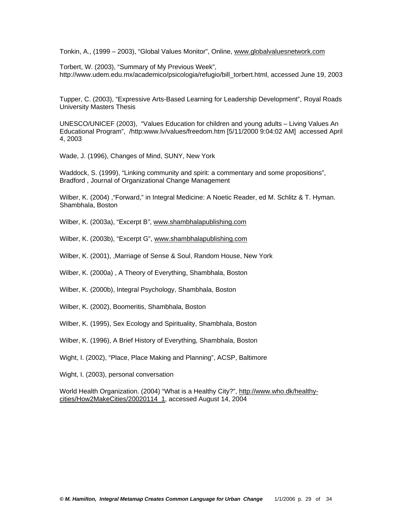Tonkin, A., (1999 – 2003), "Global Values Monitor", Online, [www.globalvaluesnetwork.com](http://www.globalvaluesnetwork.com/)

Torbert, W. (2003), "Summary of My Previous Week", http://www.udem.edu.mx/academico/psicologia/refugio/bill\_torbert.html, accessed June 19, 2003

Tupper, C. (2003), "Expressive Arts-Based Learning for Leadership Development", Royal Roads University Masters Thesis

UNESCO/UNICEF (2003), "Values Education for children and young adults – Living Values An Educational Program", /http:www.lv/values/freedom.htm [5/11/2000 9:04:02 AM] accessed April 4, 2003

Wade, J. (1996), Changes of Mind, SUNY, New York

Waddock, S. (1999), "Linking community and spirit: a commentary and some propositions", Bradford , Journal of Organizational Change Management

Wilber, K. (2004) ,"Forward," in Integral Medicine: A Noetic Reader, ed M. Schlitz & T. Hyman. Shambhala, Boston

Wilber, K. (2003a), "Excerpt B*"*, [www.shambhalapublishing.com](http://www.shambhalapublishing.com/) 

Wilber, K. (2003b), "Excerpt G", [www.shambhalapublishing.com](http://www.shambhalapublishing.com/) 

Wilber, K. (2001), ,Marriage of Sense & Soul, Random House, New York

Wilber, K. (2000a) , A Theory of Everything, Shambhala, Boston

Wilber, K. (2000b), Integral Psychology, Shambhala, Boston

Wilber, K. (2002), Boomeritis, Shambhala, Boston

Wilber, K. (1995), Sex Ecology and Spirituality, Shambhala, Boston

Wilber, K. (1996), A Brief History of Everything*,* Shambhala, Boston

Wight, I. (2002), "Place, Place Making and Planning", ACSP, Baltimore

Wight, I. (2003), personal conversation

World Health Organization. (2004) "What is a Healthy City?", [http://www.who.dk/healthy](http://www.who.dk/healthy-cities/How2MakeCities/20020114_1)[cities/How2MakeCities/20020114\\_1](http://www.who.dk/healthy-cities/How2MakeCities/20020114_1), accessed August 14, 2004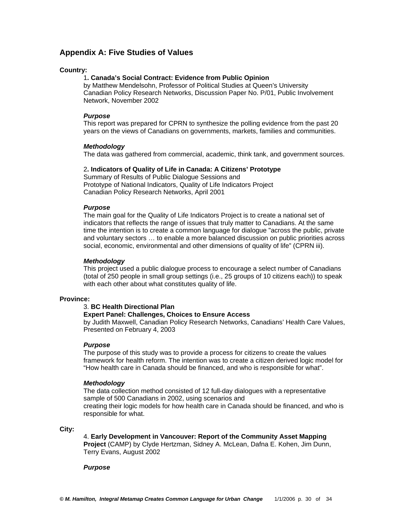## **Appendix A: Five Studies of Values**

#### **Country:**

## 1**. Canada's Social Contract: Evidence from Public Opinion**

by Matthew Mendelsohn, Professor of Political Studies at Queen's University Canadian Policy Research Networks, Discussion Paper No. P/01, Public Involvement Network, November 2002

## *Purpose*

This report was prepared for CPRN to synthesize the polling evidence from the past 20 years on the views of Canadians on governments, markets, families and communities.

## *Methodology*

The data was gathered from commercial, academic, think tank, and government sources.

## 2**. Indicators of Quality of Life in Canada: A Citizens' Prototype**

Summary of Results of Public Dialogue Sessions and Prototype of National Indicators, Quality of Life Indicators Project Canadian Policy Research Networks, April 2001

## *Purpose*

The main goal for the Quality of Life Indicators Project is to create a national set of indicators that reflects the range of issues that truly matter to Canadians. At the same time the intention is to create a common language for dialogue "across the public, private and voluntary sectors … to enable a more balanced discussion on public priorities across social, economic, environmental and other dimensions of quality of life" (CPRN iii).

## *Methodology*

This project used a public dialogue process to encourage a select number of Canadians (total of 250 people in small group settings (i.e., 25 groups of 10 citizens each)) to speak with each other about what constitutes quality of life.

## **Province:**

## 3. **BC Health Directional Plan**

#### **Expert Panel: Challenges, Choices to Ensure Access**

by Judith Maxwell, Canadian Policy Research Networks, Canadians' Health Care Values, Presented on February 4, 2003

## *Purpose*

The purpose of this study was to provide a process for citizens to create the values framework for health reform. The intention was to create a citizen derived logic model for "How health care in Canada should be financed, and who is responsible for what".

## *Methodology*

The data collection method consisted of 12 full-day dialogues with a representative sample of 500 Canadians in 2002, using scenarios and creating their logic models for how health care in Canada should be financed, and who is responsible for what.

## **City:**

## 4. **Early Development in Vancouver: Report of the Community Asset Mapping**

**Project** (CAMP) by Clyde Hertzman, Sidney A. McLean, Dafna E. Kohen, Jim Dunn, Terry Evans, August 2002

## *Purpose*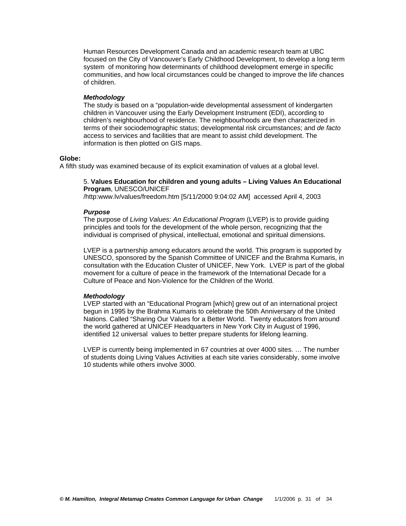Human Resources Development Canada and an academic research team at UBC focused on the City of Vancouver's Early Childhood Development, to develop a long term system of monitoring how determinants of childhood development emerge in specific communities, and how local circumstances could be changed to improve the life chances of children.

#### *Methodology*

The study is based on a "population-wide developmental assessment of kindergarten children in Vancouver using the Early Development Instrument (EDI), according to children's neighbourhood of residence. The neighbourhoods are then characterized in terms of their sociodemographic status; developmental risk circumstances; and *de facto*  access to services and facilities that are meant to assist child development. The information is then plotted on GIS maps.

#### **Globe:**

A fifth study was examined because of its explicit examination of values at a global level.

## 5. **Values Education for children and young adults – Living Values An Educational Program**, UNESCO/UNICEF

/http:www.lv/values/freedom.htm [5/11/2000 9:04:02 AM] accessed April 4, 2003

#### *Purpose*

The purpose of *Living Values: An Educational Program* (LVEP) is to provide guiding principles and tools for the development of the whole person, recognizing that the individual is comprised of physical, intellectual, emotional and spiritual dimensions.

LVEP is a partnership among educators around the world. This program is supported by UNESCO, sponsored by the Spanish Committee of UNICEF and the Brahma Kumaris, in consultation with the Education Cluster of UNICEF, New York. LVEP is part of the global movement for a culture of peace in the framework of the International Decade for a Culture of Peace and Non-Violence for the Children of the World.

## *Methodology*

LVEP started with an "Educational Program [which] grew out of an international project begun in 1995 by the Brahma Kumaris to celebrate the 50th Anniversary of the United Nations. Called "Sharing Our Values for a Better World. Twenty educators from around the world gathered at UNICEF Headquarters in New York City in August of 1996, identified 12 universal values to better prepare students for lifelong learning.

LVEP is currently being implemented in 67 countries at over 4000 sites. … The number of students doing Living Values Activities at each site varies considerably, some involve 10 students while others involve 3000.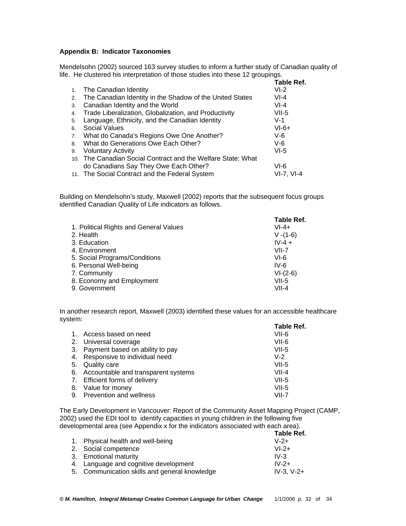## **Appendix B: Indicator Taxonomies**

Mendelsohn (2002) sourced 163 survey studies to inform a further study of Canadian quality of life. He clustered his interpretation of those studies into these 12 groupings.

|                |                                                              | Table Ref. |
|----------------|--------------------------------------------------------------|------------|
| 1 <sub>1</sub> | The Canadian Identity                                        | VI-2       |
| 2.             | The Canadian Identity in the Shadow of the United States     | $VI-4$     |
| 3.             | Canadian Identity and the World                              | $VI-4$     |
| 4.             | Trade Liberalization, Globalization, and Productivity        | $VII-5$    |
| 5.             | Language, Ethnicity, and the Canadian Identity               | V-1        |
| 6.             | Social Values                                                | $VI-6+$    |
| 7.             | What do Canada's Regions Owe One Another?                    | V-6        |
| 8.             | What do Generations Owe Each Other?                          | $V-6$      |
| 9.             | <b>Voluntary Activity</b>                                    | VI-5       |
|                | 10. The Canadian Social Contract and the Welfare State: What |            |
|                | do Canadians Say They Owe Each Other?                        | VI-6       |
|                | 11. The Social Contract and the Federal System               | VI-7, VI-4 |
|                |                                                              |            |

Building on Mendelsohn's study, Maxwell (2002) reports that the subsequent focus groups identified Canadian Quality of Life indicators as follows.

|                                        | Table Ref.  |
|----------------------------------------|-------------|
| 1. Political Rights and General Values | $VI-4+$     |
| 2. Health                              | $V - (1-6)$ |
| 3. Education                           | $IV-4 +$    |
| 4. Environment                         | $VII-7$     |
| 5. Social Programs/Conditions          | $VI-6$      |
| 6. Personal Well-being                 | $IV-6$      |
| 7. Community                           | $VI-(2-6)$  |
| 8. Economy and Employment              | $VII-5$     |
| 9. Government                          | $VII-4$     |
|                                        |             |

In another research report, Maxwell (2003) identified these values for an accessible healthcare system: **Table Ref.** 

|    |                                        | Table Ref. |
|----|----------------------------------------|------------|
|    | 1. Access based on need                | VII-6      |
|    | 2. Universal coverage                  | $VII-6$    |
|    | 3. Payment based on ability to pay     | $VII-5$    |
|    | 4. Responsive to individual need       | $V-2$      |
| 5. | Quality care                           | $VII-5$    |
|    | 6. Accountable and transparent systems | $VII-4$    |
|    | 7. Efficient forms of delivery         | $VII-5$    |
|    | 8. Value for money                     | $VII-5$    |
|    | 9. Prevention and wellness             | $VII-7$    |
|    |                                        |            |

The Early Development in Vancouver: Report of the Community Asset Mapping Project (CAMP, 2002) used the EDI tool to identify capacities in young children in the following five developmental area (see Appendix x for the indicators associated with each area). **Table Ref.** 

|                                               | TADIE KEI.   |
|-----------------------------------------------|--------------|
| 1. Physical health and well-being             | $V - 2 +$    |
| 2. Social competence                          | $VI-2+$      |
| 3. Emotional maturity                         | $IV-3$       |
| 4. Language and cognitive development         | $IV-2+$      |
| 5. Communication skills and general knowledge | $IV-3. V-2+$ |
|                                               |              |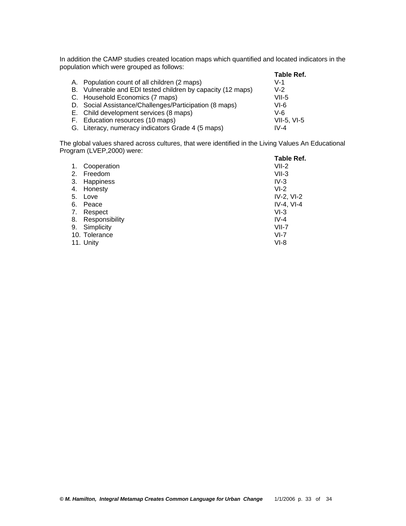In addition the CAMP studies created location maps which quantified and located indicators in the population which were grouped as follows:

|                                                             | Table Ref.  |
|-------------------------------------------------------------|-------------|
| A. Population count of all children (2 maps)                | $V-1$       |
| B. Vulnerable and EDI tested children by capacity (12 maps) | $V-2$       |
| C. Household Economics (7 maps)                             | $VII-5$     |
| D. Social Assistance/Challenges/Participation (8 maps)      | VI-6        |
| E. Child development services (8 maps)                      | V-6         |
| F. Education resources (10 maps)                            | VII-5, VI-5 |
| G. Literacy, numeracy indicators Grade 4 (5 maps)           | $IV-4$      |

The global values shared across cultures, that were identified in the Living Values An Educational Program (LVEP,2000) were:

|    |                | Table Ref.      |
|----|----------------|-----------------|
| 1. | Cooperation    | $VII-2$         |
| 2. | Freedom        | $VII-3$         |
| 3. | Happiness      | $IV-3$          |
| 4. | Honesty        | $VI-2$          |
| 5. | Love           | IV-2, VI-2      |
| 6. | Peace          | $IV-4$ , $VI-4$ |
| 7. | Respect        | $VI-3$          |
| 8. | Responsibility | $IV-4$          |
| 9. | Simplicity     | $VII-7$         |
|    | 10. Tolerance  | $VI-7$          |
|    | 11. Unity      | $VI-8$          |
|    |                |                 |